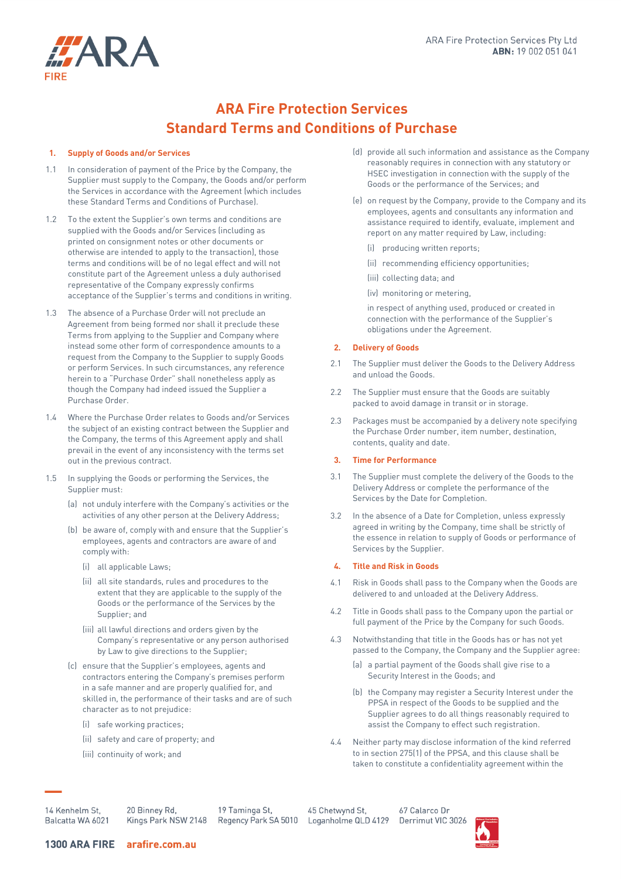

# **ARA Fire Protection Services Standard Terms and Conditions of Purchase**

### **1. Supply of Goods and/or Services**

- 1.1 In consideration of payment of the Price by the Company, the Supplier must supply to the Company, the Goods and/or perform the Services in accordance with the Agreement (which includes these Standard Terms and Conditions of Purchase).
- 1.2 To the extent the Supplier's own terms and conditions are supplied with the Goods and/or Services (including as printed on consignment notes or other documents or otherwise are intended to apply to the transaction), those terms and conditions will be of no legal effect and will not constitute part of the Agreement unless a duly authorised representative of the Company expressly confirms acceptance of the Supplier's terms and conditions in writing.
- <span id="page-0-0"></span>1.3 The absence of a Purchase Order will not preclude an Agreement from being formed nor shall it preclude these Terms from applying to the Supplier and Company where instead some other form of correspondence amounts to a request from the Company to the Supplier to supply Goods or perform Services. In such circumstances, any reference herein to a "Purchase Order" shall nonetheless apply as though the Company had indeed issued the Supplier a Purchase Order.
- 1.4 Where the Purchase Order relates to Goods and/or Services the subject of an existing contract between the Supplier and the Company, the terms of this Agreement apply and shall prevail in the event of any inconsistency with the terms set out in the previous contract.
- 1.5 In supplying the Goods or performing the Services, the Supplier must:
	- (a) not unduly interfere with the Company's activities or the activities of any other person at the Delivery Address;
	- (b) be aware of, comply with and ensure that the Supplier's employees, agents and contractors are aware of and comply with:
		- (i) all applicable Laws;
		- (ii) all site standards, rules and procedures to the extent that they are applicable to the supply of the Goods or the performance of the Services by the Supplier; and
		- (iii) all lawful directions and orders given by the Company's representative or any person authorised by Law to give directions to the Supplier;
	- (c) ensure that the Supplier's employees, agents and contractors entering the Company's premises perform in a safe manner and are properly qualified for, and skilled in, the performance of their tasks and are of such character as to not prejudice:
		- (i) safe working practices;
		- (ii) safety and care of property; and
		- (iii) continuity of work; and
- (d) provide all such information and assistance as the Company reasonably requires in connection with any statutory or HSEC investigation in connection with the supply of the Goods or the performance of the Services; and
- (e) on request by the Company, provide to the Company and its employees, agents and consultants any information and assistance required to identify, evaluate, implement and report on any matter required by Law, including:
	- (i) producing written reports;
	- (ii) recommending efficiency opportunities;
	- (iii) collecting data; and
	- (iv) monitoring or metering,

in respect of anything used, produced or created in connection with the performance of the Supplier's obligations under the Agreement.

### **2. Delivery of Goods**

- 2.1 The Supplier must deliver the Goods to the Delivery Address and unload the Goods.
- 2.2 The Supplier must ensure that the Goods are suitably packed to avoid damage in transit or in storage.
- 2.3 Packages must be accompanied by a delivery note specifying the Purchase Order number, item number, destination, contents, quality and date.

#### **3. Time for Performance**

- 3.1 The Supplier must complete the delivery of the Goods to the Delivery Address or complete the performance of the Services by the Date for Completion.
- 3.2 In the absence of a Date for Completion, unless expressly agreed in writing by the Company, time shall be strictly of the essence in relation to supply of Goods or performance of Services by the Supplier.

### **4. Title and Risk in Goods**

- 4.1 Risk in Goods shall pass to the Company when the Goods are delivered to and unloaded at the Delivery Address.
- 4.2 Title in Goods shall pass to the Company upon the partial or full payment of the Price by the Company for such Goods.
- 4.3 Notwithstanding that title in the Goods has or has not yet passed to the Company, the Company and the Supplier agree:
	- (a) a partial payment of the Goods shall give rise to a Security Interest in the Goods; and
	- (b) the Company may register a Security Interest under the PPSA in respect of the Goods to be supplied and the Supplier agrees to do all things reasonably required to assist the Company to effect such registration.
- 4.4 Neither party may disclose information of the kind referred to in section 275(1) of the PPSA, and this clause shall be taken to constitute a confidentiality agreement within the

14 Kenhelm St. Balcatta WA 6021 20 Binney Rd. Kings Park NSW 2148

19 Taminga St. Regency Park SA 5010

45 Chetwynd St. Loganholme QLD 4129

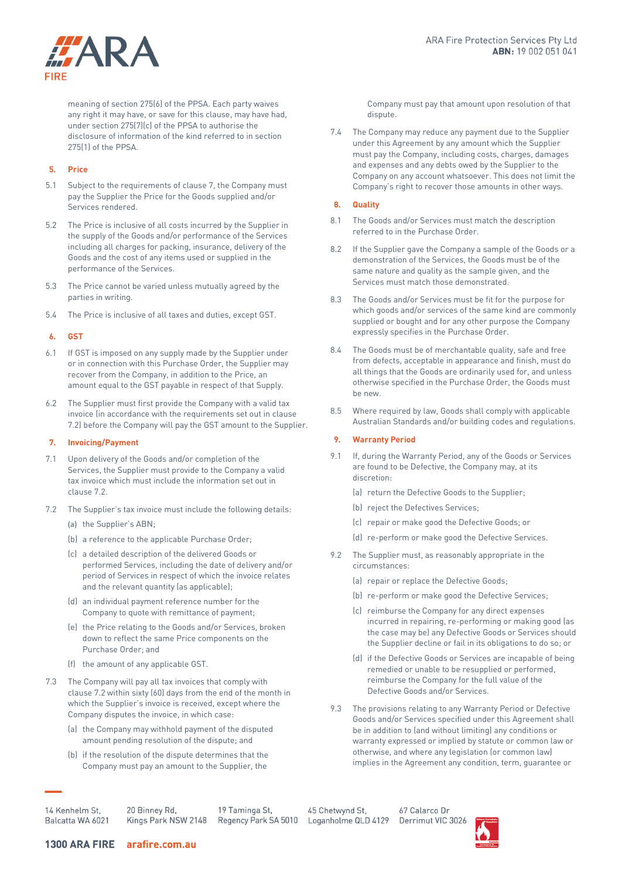

meaning of section 275(6) of the PPSA. Each party waives any right it may have, or save for this clause, may have had, under section 275(7)(c) of the PPSA to authorise the disclosure of information of the kind referred to in section 275(1) of the PPSA.

### **5. Price**

- 5.1 Subject to the requirements of clause 7, the Company must pay the Supplier the Price for the Goods supplied and/or Services rendered.
- 5.2 The Price is inclusive of all costs incurred by the Supplier in the supply of the Goods and/or performance of the Services including all charges for packing, insurance, delivery of the Goods and the cost of any items used or supplied in the performance of the Services.
- 5.3 The Price cannot be varied unless mutually agreed by the parties in writing.
- 5.4 The Price is inclusive of all taxes and duties, except GST.

# **6. GST**

- 6.1 If GST is imposed on any supply made by the Supplier under or in connection with this Purchase Order, the Supplier may recover from the Company, in addition to the Price, an amount equal to the GST payable in respect of that Supply.
- 6.2 The Supplier must first provide the Company with a valid tax invoice (in accordance with the requirements set out in clause [7.2\)](#page-1-0) before the Company will pay the GST amount to the Supplier.

# **7. Invoicing/Payment**

- 7.1 Upon delivery of the Goods and/or completion of the Services, the Supplier must provide to the Company a valid tax invoice which must include the information set out in clause 7.2.
- <span id="page-1-0"></span>7.2 The Supplier's tax invoice must include the following details:
	- (a) the Supplier's ABN;
	- (b) a reference to the applicable Purchase Order;
	- (c) a detailed description of the delivered Goods or performed Services, including the date of delivery and/or period of Services in respect of which the invoice relates and the relevant quantity (as applicable);
	- (d) an individual payment reference number for the Company to quote with remittance of payment;
	- (e) the Price relating to the Goods and/or Services, broken down to reflect the same Price components on the Purchase Order; and
	- (f) the amount of any applicable GST.
- 7.3 The Company will pay all tax invoices that comply with clause 7.2 within sixty (60) days from the end of the month in which the Supplier's invoice is received, except where the Company disputes the invoice, in which case:
	- (a) the Company may withhold payment of the disputed amount pending resolution of the dispute; and
	- (b) if the resolution of the dispute determines that the Company must pay an amount to the Supplier, the

Company must pay that amount upon resolution of that dispute.

7.4 The Company may reduce any payment due to the Supplier under this Agreement by any amount which the Supplier must pay the Company, including costs, charges, damages and expenses and any debts owed by the Supplier to the Company on any account whatsoever. This does not limit the Company's right to recover those amounts in other ways.

# **8. Quality**

- 8.1 The Goods and/or Services must match the description referred to in the Purchase Order.
- 8.2 If the Supplier gave the Company a sample of the Goods or a demonstration of the Services, the Goods must be of the same nature and quality as the sample given, and the Services must match those demonstrated.
- 8.3 The Goods and/or Services must be fit for the purpose for which goods and/or services of the same kind are commonly supplied or bought and for any other purpose the Company expressly specifies in the Purchase Order.
- 8.4 The Goods must be of merchantable quality, safe and free from defects, acceptable in appearance and finish, must do all things that the Goods are ordinarily used for, and unless otherwise specified in the Purchase Order, the Goods must be new.
- 8.5 Where required by law, Goods shall comply with applicable Australian Standards and/or building codes and regulations.

# **9. Warranty Period**

- 9.1 If, during the Warranty Period, any of the Goods or Services are found to be Defective, the Company may, at its discretion:
	- (a) return the Defective Goods to the Supplier;
	- (b) reject the Defectives Services;
	- (c) repair or make good the Defective Goods; or
	- (d) re-perform or make good the Defective Services.
- 9.2 The Supplier must, as reasonably appropriate in the circumstances:
	- (a) repair or replace the Defective Goods;
	- (b) re-perform or make good the Defective Services;
	- (c) reimburse the Company for any direct expenses incurred in repairing, re-performing or making good (as the case may be) any Defective Goods or Services should the Supplier decline or fail in its obligations to do so; or
	- (d) if the Defective Goods or Services are incapable of being remedied or unable to be resupplied or performed, reimburse the Company for the full value of the Defective Goods and/or Services.
- 9.3 The provisions relating to any Warranty Period or Defective Goods and/or Services specified under this Agreement shall be in addition to (and without limiting) any conditions or warranty expressed or implied by statute or common law or otherwise, and where any legislation (or common law) implies in the Agreement any condition, term, guarantee or

14 Kenhelm St, Balcatta WA 6021 20 Binney Rd. Kings Park NSW 2148

19 Taminga St. Regency Park SA 5010

45 Chetwynd St. Loganholme QLD 4129

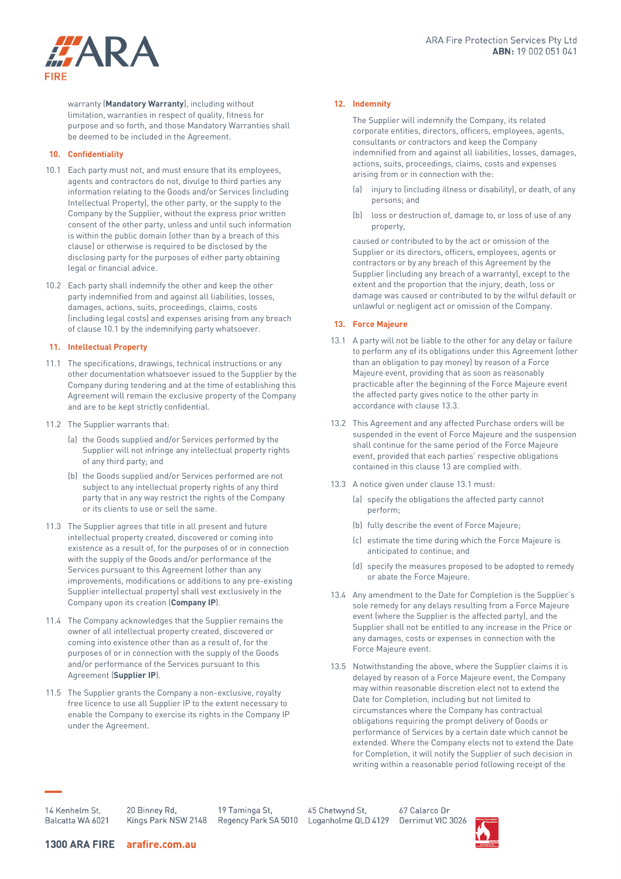

warranty (**Mandatory Warranty**), including without limitation, warranties in respect of quality, fitness for purpose and so forth, and those Mandatory Warranties shall be deemed to be included in the Agreement.

# **10. Confidentiality**

- <span id="page-2-0"></span>10.1 Each party must not, and must ensure that its employees, agents and contractors do not, divulge to third parties any information relating to the Goods and/or Services (including Intellectual Property), the other party, or the supply to the Company by the Supplier, without the express prior written consent of the other party, unless and until such information is within the public domain (other than by a breach of this clause) or otherwise is required to be disclosed by the disclosing party for the purposes of either party obtaining legal or financial advice.
- 10.2 Each party shall indemnify the other and keep the other party indemnified from and against all liabilities, losses, damages, actions, suits, proceedings, claims, costs (including legal costs) and expenses arising from any breach of claus[e 10.1](#page-2-0) by the indemnifying party whatsoever.

# **11. Intellectual Property**

- 11.1 The specifications, drawings, technical instructions or any other documentation whatsoever issued to the Supplier by the Company during tendering and at the time of establishing this Agreement will remain the exclusive property of the Company and are to be kept strictly confidential.
- 11.2 The Supplier warrants that:
	- (a) the Goods supplied and/or Services performed by the Supplier will not infringe any intellectual property rights of any third party; and
	- (b) the Goods supplied and/or Services performed are not subject to any intellectual property rights of any third party that in any way restrict the rights of the Company or its clients to use or sell the same.
- 11.3 The Supplier agrees that title in all present and future intellectual property created, discovered or coming into existence as a result of, for the purposes of or in connection with the supply of the Goods and/or performance of the Services pursuant to this Agreement (other than any improvements, modifications or additions to any pre-existing Supplier intellectual property) shall vest exclusively in the Company upon its creation (**Company IP**).
- 11.4 The Company acknowledges that the Supplier remains the owner of all intellectual property created, discovered or coming into existence other than as a result of, for the purposes of or in connection with the supply of the Goods and/or performance of the Services pursuant to this Agreement (**Supplier IP**).
- 11.5 The Supplier grants the Company a non-exclusive, royalty free licence to use all Supplier IP to the extent necessary to enable the Company to exercise its rights in the Company IP under the Agreement.

# **12. Indemnity**

The Supplier will indemnify the Company, its related corporate entities, directors, officers, employees, agents, consultants or contractors and keep the Company indemnified from and against all liabilities, losses, damages, actions, suits, proceedings, claims, costs and expenses arising from or in connection with the:

- (a) injury to (including illness or disability), or death, of any persons; and
- (b) loss or destruction of, damage to, or loss of use of any property,

caused or contributed to by the act or omission of the Supplier or its directors, officers, employees, agents or contractors or by any breach of this Agreement by the Supplier (including any breach of a warranty), except to the extent and the proportion that the injury, death, loss or damage was caused or contributed to by the wilful default or unlawful or negligent act or omission of the Company.

# <span id="page-2-2"></span>**13. Force Majeure**

- <span id="page-2-3"></span>13.1 A party will not be liable to the other for any delay or failure to perform any of its obligations under this Agreement (other than an obligation to pay money) by reason of a Force Majeure event, providing that as soon as reasonably practicable after the beginning of the Force Majeure event the affected party gives notice to the other party in accordance with claus[e 13.3.](#page-2-1)
- 13.2 This Agreement and any affected Purchase orders will be suspended in the event of Force Majeure and the suspension shall continue for the same period of the Force Majeure event, provided that each parties' respective obligations contained in this claus[e 13](#page-2-2) are complied with.
- <span id="page-2-1"></span>13.3 A notice given under claus[e 13.1](#page-2-3) must:
	- (a) specify the obligations the affected party cannot perform;
	- (b) fully describe the event of Force Majeure;
	- (c) estimate the time during which the Force Majeure is anticipated to continue; and
	- (d) specify the measures proposed to be adopted to remedy or abate the Force Majeure.
- 13.4 Any amendment to the Date for Completion is the Supplier's sole remedy for any delays resulting from a Force Majeure event (where the Supplier is the affected party), and the Supplier shall not be entitled to any increase in the Price or any damages, costs or expenses in connection with the Force Majeure event.
- <span id="page-2-4"></span>13.5 Notwithstanding the above, where the Supplier claims it is delayed by reason of a Force Majeure event, the Company may within reasonable discretion elect not to extend the Date for Completion, including but not limited to circumstances where the Company has contractual obligations requiring the prompt delivery of Goods or performance of Services by a certain date which cannot be extended. Where the Company elects not to extend the Date for Completion, it will notify the Supplier of such decision in writing within a reasonable period following receipt of the

14 Kenhelm St, Balcatta WA 6021 20 Binney Rd.

19 Taminga St. Regency Park SA 5010

45 Chetwynd St. Loganholme QLD 4129

67 Calarco Dr Derrimut VIC 3026



Kings Park NSW 2148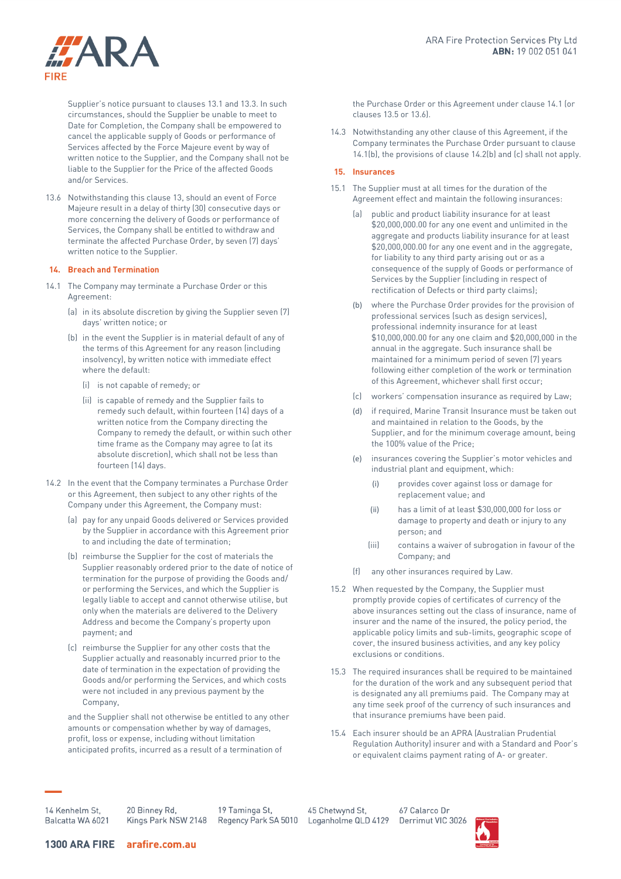

Supplier's notice pursuant to clause[s 13.1](#page-2-3) an[d 13.3.](#page-2-1) In such circumstances, should the Supplier be unable to meet to Date for Completion, the Company shall be empowered to cancel the applicable supply of Goods or performance of Services affected by the Force Majeure event by way of written notice to the Supplier, and the Company shall not be liable to the Supplier for the Price of the affected Goods and/or Services.

<span id="page-3-1"></span>13.6 Notwithstanding this claus[e 13,](#page-2-2) should an event of Force Majeure result in a delay of thirty (30) consecutive days or more concerning the delivery of Goods or performance of Services, the Company shall be entitled to withdraw and terminate the affected Purchase Order, by seven (7) days' written notice to the Supplier.

# **14. Breach and Termination**

- <span id="page-3-0"></span>14.1 The Company may terminate a Purchase Order or this Agreement:
	- (a) in its absolute discretion by giving the Supplier seven (7) days' written notice; or
	- (b) in the event the Supplier is in material default of any of the terms of this Agreement for any reason (including insolvency), by written notice with immediate effect where the default:
		- (i) is not capable of remedy; or
		- (ii) is capable of remedy and the Supplier fails to remedy such default, within fourteen (14) days of a written notice from the Company directing the Company to remedy the default, or within such other time frame as the Company may agree to (at its absolute discretion), which shall not be less than fourteen (14) days.
- 14.2 In the event that the Company terminates a Purchase Order or this Agreement, then subject to any other rights of the Company under this Agreement, the Company must:
	- (a) pay for any unpaid Goods delivered or Services provided by the Supplier in accordance with this Agreement prior to and including the date of termination;
	- (b) reimburse the Supplier for the cost of materials the Supplier reasonably ordered prior to the date of notice of termination for the purpose of providing the Goods and/ or performing the Services, and which the Supplier is legally liable to accept and cannot otherwise utilise, but only when the materials are delivered to the Delivery Address and become the Company's property upon payment; and
	- (c) reimburse the Supplier for any other costs that the Supplier actually and reasonably incurred prior to the date of termination in the expectation of providing the Goods and/or performing the Services, and which costs were not included in any previous payment by the Company,

and the Supplier shall not otherwise be entitled to any other amounts or compensation whether by way of damages, profit, loss or expense, including without limitation anticipated profits, incurred as a result of a termination of

the Purchase Order or this Agreement under clause [14.1](#page-3-0) (or clause[s 13.5](#page-2-4) o[r 13.6\)](#page-3-1).

14.3 Notwithstanding any other clause of this Agreement, if the Company terminates the Purchase Order pursuant to clause 14.1(b), the provisions of clause 14.2(b) and (c) shall not apply.

#### **15. Insurances**

- 15.1 The Supplier must at all times for the duration of the Agreement effect and maintain the following insurances:
	- (a) public and product liability insurance for at least \$20,000,000.00 for any one event and unlimited in the aggregate and products liability insurance for at least \$20,000,000.00 for any one event and in the aggregate, for liability to any third party arising out or as a consequence of the supply of Goods or performance of Services by the Supplier (including in respect of rectification of Defects or third party claims);
	- (b) where the Purchase Order provides for the provision of professional services (such as design services), professional indemnity insurance for at least \$10,000,000.00 for any one claim and \$20,000,000 in the annual in the aggregate. Such insurance shall be maintained for a minimum period of seven (7) years following either completion of the work or termination of this Agreement, whichever shall first occur;
	- (c) workers' compensation insurance as required by Law;
	- (d) if required, Marine Transit Insurance must be taken out and maintained in relation to the Goods, by the Supplier, and for the minimum coverage amount, being the 100% value of the Price;
	- (e) insurances covering the Supplier's motor vehicles and industrial plant and equipment, which:
		- (i) provides cover against loss or damage for replacement value; and
		- (ii) has a limit of at least \$30,000,000 for loss or damage to property and death or injury to any person; and
		- (iii) contains a waiver of subrogation in favour of the Company; and
	- (f) any other insurances required by Law.
- 15.2 When requested by the Company, the Supplier must promptly provide copies of certificates of currency of the above insurances setting out the class of insurance, name of insurer and the name of the insured, the policy period, the applicable policy limits and sub-limits, geographic scope of cover, the insured business activities, and any key policy exclusions or conditions.
- 15.3 The required insurances shall be required to be maintained for the duration of the work and any subsequent period that is designated any all premiums paid. The Company may at any time seek proof of the currency of such insurances and that insurance premiums have been paid.
- 15.4 Each insurer should be an APRA (Australian Prudential Regulation Authority) insurer and with a Standard and Poor's or equivalent claims payment rating of A- or greater.

1/<sub>Kenhelm</sub> St Balcatta WA 6021 20 Binney Rd. Kings Park NSW 2148

19 Taminga St. Regency Park SA 5010

45 Chetwynd St. Loganholme QLD 4129

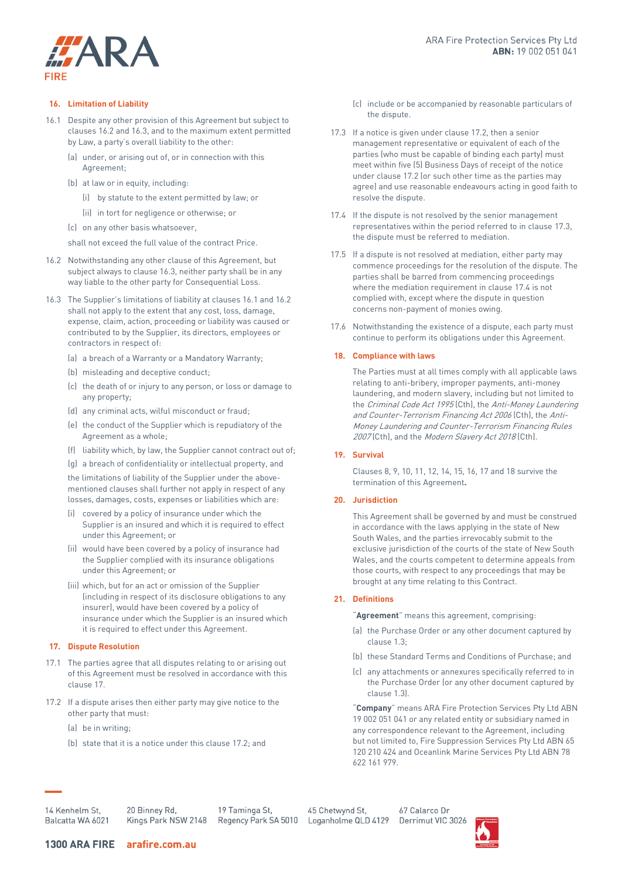# "ARA **FIRE**

### **16. Limitation of Liability**

- <span id="page-4-2"></span>16.1 Despite any other provision of this Agreement but subject to clause[s 16.2](#page-4-0) an[d 16.3,](#page-4-1) and to the maximum extent permitted by Law, a party's overall liability to the other:
	- (a) under, or arising out of, or in connection with this Agreement;
	- (b) at law or in equity, including:
		- (i) by statute to the extent permitted by law; or
		- (ii) in tort for negligence or otherwise; or
	- (c) on any other basis whatsoever,

shall not exceed the full value of the contract Price.

- <span id="page-4-0"></span>16.2 Notwithstanding any other clause of this Agreement, but subject always to clause 16.3, neither party shall be in any way liable to the other party for Consequential Loss.
- <span id="page-4-1"></span>16.3 The Supplier's limitations of liability at clauses [16.1](#page-4-2) an[d 16.2](#page-4-0) shall not apply to the extent that any cost, loss, damage, expense, claim, action, proceeding or liability was caused or contributed to by the Supplier, its directors, employees or contractors in respect of:
	- (a) a breach of a Warranty or a Mandatory Warranty;
	- (b) misleading and deceptive conduct;
	- (c) the death of or injury to any person, or loss or damage to any property;
	- (d) any criminal acts, wilful misconduct or fraud;
	- (e) the conduct of the Supplier which is repudiatory of the Agreement as a whole;
	- (f) liability which, by law, the Supplier cannot contract out of;

(g) a breach of confidentiality or intellectual property, and the limitations of liability of the Supplier under the abovementioned clauses shall further not apply in respect of any losses, damages, costs, expenses or liabilities which are:

- (i) covered by a policy of insurance under which the Supplier is an insured and which it is required to effect under this Agreement; or
- (ii) would have been covered by a policy of insurance had the Supplier complied with its insurance obligations under this Agreement; or
- (iii) which, but for an act or omission of the Supplier (including in respect of its disclosure obligations to any insurer), would have been covered by a policy of insurance under which the Supplier is an insured which it is required to effect under this Agreement.

# **17. Dispute Resolution**

- 17.1 The parties agree that all disputes relating to or arising out of this Agreement must be resolved in accordance with this clause 17.
- <span id="page-4-3"></span>17.2 If a dispute arises then either party may give notice to the other party that must:
	- (a) be in writing;
	- (b) state that it is a notice under this claus[e 17.2;](#page-4-3) and
- (c) include or be accompanied by reasonable particulars of the dispute.
- <span id="page-4-4"></span>17.3 If a notice is given under claus[e 17.2,](#page-4-3) then a senior management representative or equivalent of each of the parties (who must be capable of binding each party) must meet within five (5) Business Days of receipt of the notice under claus[e 17.2](#page-4-3) (or such other time as the parties may agree) and use reasonable endeavours acting in good faith to resolve the dispute.
- <span id="page-4-5"></span>17.4 If the dispute is not resolved by the senior management representatives within the period referred to in claus[e 17.3,](#page-4-4) the dispute must be referred to mediation.
- 17.5 If a dispute is not resolved at mediation, either party may commence proceedings for the resolution of the dispute. The parties shall be barred from commencing proceedings where the mediation requirement in clause [17.4](#page-4-5) is not complied with, except where the dispute in question concerns non-payment of monies owing.
- 17.6 Notwithstanding the existence of a dispute, each party must continue to perform its obligations under this Agreement.

# **18. Compliance with laws**

The Parties must at all times comply with all applicable laws relating to anti-bribery, improper payments, anti-money laundering, and modern slavery, including but not limited to the Criminal Code Act 1995 (Cth), the Anti-Money Laundering and Counter-Terrorism Financing Act 2006 (Cth), the Anti-Money Laundering and Counter-Terrorism Financing Rules 2007 (Cth), and the Modern Slavery Act 2018 (Cth).

# **19. Survival**

Clauses 8, 9, 10, 11, 12, 14, 15, 16, 17 and 18 survive the termination of this Agreement**.** 

# **20. Jurisdiction**

This Agreement shall be governed by and must be construed in accordance with the laws applying in the state of New South Wales, and the parties irrevocably submit to the exclusive jurisdiction of the courts of the state of New South Wales, and the courts competent to determine appeals from those courts, with respect to any proceedings that may be brought at any time relating to this Contract.

# **21. Definitions**

"**Agreement**" means this agreement, comprising:

- (a) the Purchase Order or any other document captured by clause [1.3;](#page-0-0)
- (b) these Standard Terms and Conditions of Purchase; and
- (c) any attachments or annexures specifically referred to in the Purchase Order (or any other document captured by claus[e 1.3\)](#page-0-0).

"**Company**" means ARA Fire Protection Services Pty Ltd ABN 19 002 051 041 or any related entity or subsidiary named in any correspondence relevant to the Agreement, including but not limited to, Fire Suppression Services Pty Ltd ABN 65 120 210 424 and Oceanlink Marine Services Pty Ltd ABN 78 622 161 979.

14 Kenhelm St, Balcatta WA 6021 20 Binney Rd. Kings Park NSW 2148

19 Taminga St. Regency Park SA 5010

45 Chetwynd St. Loganholme QLD 4129